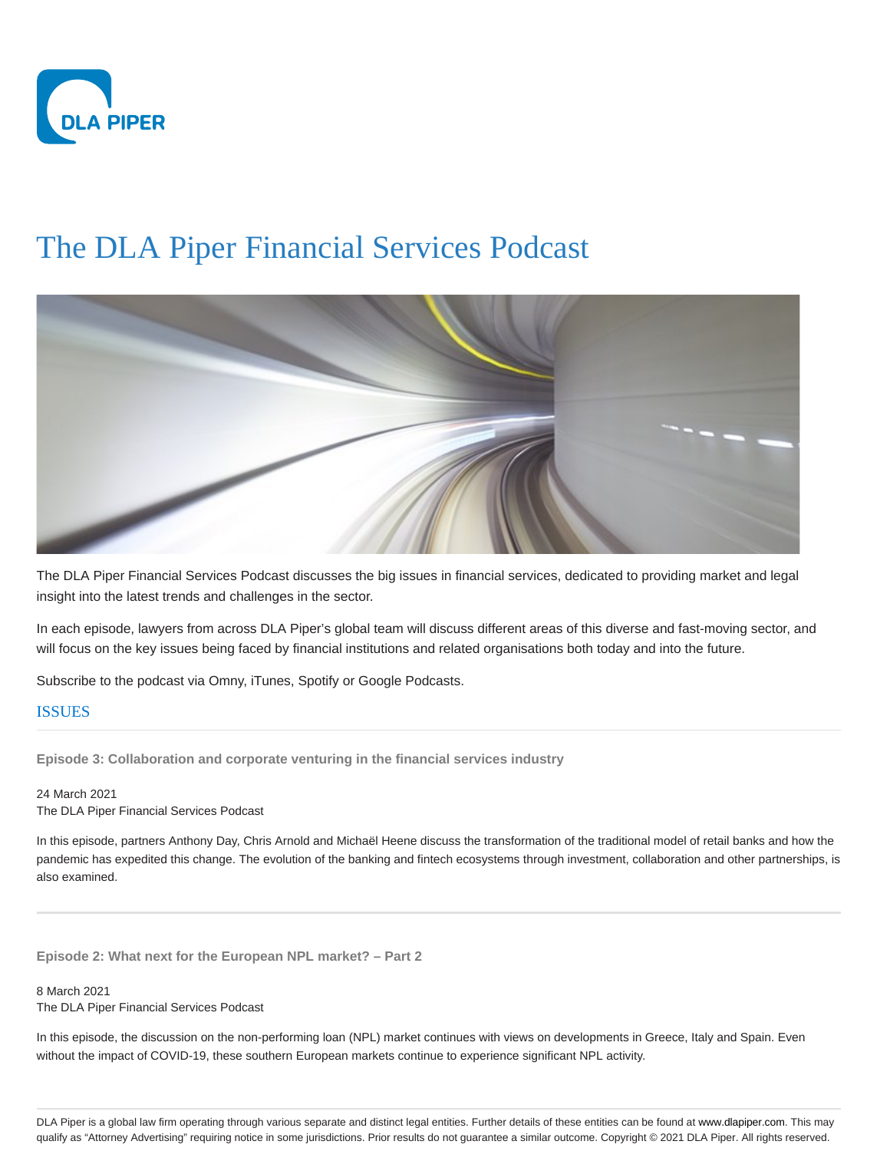

## The DLA Piper Financial Services Podcast



The DLA Piper Financial Services Podcast discusses the big issues in financial services, dedicated to providing market and legal insight into the latest trends and challenges in the sector.

In each episode, lawyers from across DLA Piper's global team will discuss different areas of this diverse and fast-moving sector, and will focus on the key issues being faced by financial institutions and related organisations both today and into the future.

Subscribe to the podcast via Omny, iTunes, Spotify or Google Podcasts.

## ISSUES

**Episode 3: Collaboration and corporate venturing in the financial services industry**

24 March 2021 The DLA Piper Financial Services Podcast

In this episode, partners Anthony Day, Chris Arnold and Michaël Heene discuss the transformation of the traditional model of retail banks and how the pandemic has expedited this change. The evolution of the banking and fintech ecosystems through investment, collaboration and other partnerships, is also examined.

**Episode 2: What next for the European NPL market? – Part 2**

8 March 2021 The DLA Piper Financial Services Podcast

In this episode, the discussion on the non-performing loan (NPL) market continues with views on developments in Greece, Italy and Spain. Even without the impact of COVID-19, these southern European markets continue to experience significant NPL activity.

DLA Piper is a global law firm operating through various separate and distinct legal entities. Further details of these entities can be found at www.dlapiper.com. This may qualify as "Attorney Advertising" requiring notice in some jurisdictions. Prior results do not guarantee a similar outcome. Copyright © 2021 DLA Piper. All rights reserved.